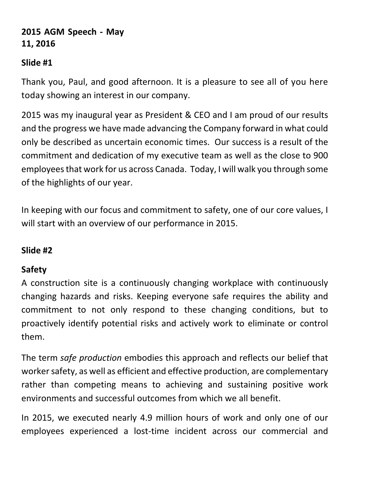# **2015 AGM Speech ‐ May 11, 2016**

## **Slide #1**

Thank you, Paul, and good afternoon. It is a pleasure to see all of you here today showing an interest in our company.

2015 was my inaugural year as President & CEO and I am proud of our results and the progress we have made advancing the Company forward in what could only be described as uncertain economic times. Our success is a result of the commitment and dedication of my executive team as well as the close to 900 employeesthat work for us across Canada. Today, I will walk you through some of the highlights of our year.

In keeping with our focus and commitment to safety, one of our core values, I will start with an overview of our performance in 2015.

# **Slide #2**

# **Safety**

A construction site is a continuously changing workplace with continuously changing hazards and risks. Keeping everyone safe requires the ability and commitment to not only respond to these changing conditions, but to proactively identify potential risks and actively work to eliminate or control them.

The term *safe production* embodies this approach and reflects our belief that worker safety, as well as efficient and effective production, are complementary rather than competing means to achieving and sustaining positive work environments and successful outcomes from which we all benefit.

In 2015, we executed nearly 4.9 million hours of work and only one of our employees experienced a lost‐time incident across our commercial and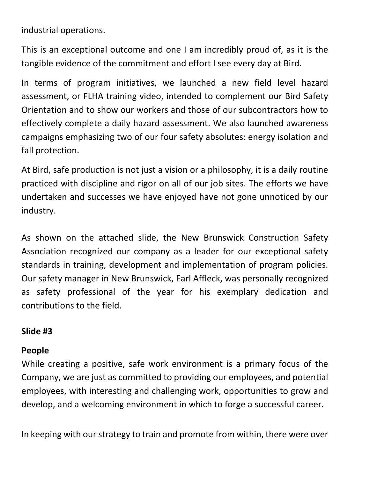industrial operations.

This is an exceptional outcome and one I am incredibly proud of, as it is the tangible evidence of the commitment and effort I see every day at Bird.

In terms of program initiatives, we launched a new field level hazard assessment, or FLHA training video, intended to complement our Bird Safety Orientation and to show our workers and those of our subcontractors how to effectively complete a daily hazard assessment. We also launched awareness campaigns emphasizing two of our four safety absolutes: energy isolation and fall protection.

At Bird, safe production is not just a vision or a philosophy, it is a daily routine practiced with discipline and rigor on all of our job sites. The efforts we have undertaken and successes we have enjoyed have not gone unnoticed by our industry.

As shown on the attached slide, the New Brunswick Construction Safety Association recognized our company as a leader for our exceptional safety standards in training, development and implementation of program policies. Our safety manager in New Brunswick, Earl Affleck, was personally recognized as safety professional of the year for his exemplary dedication and contributions to the field.

# **Slide #3**

# **People**

While creating a positive, safe work environment is a primary focus of the Company, we are just as committed to providing our employees, and potential employees, with interesting and challenging work, opportunities to grow and develop, and a welcoming environment in which to forge a successful career.

In keeping with our strategy to train and promote from within, there were over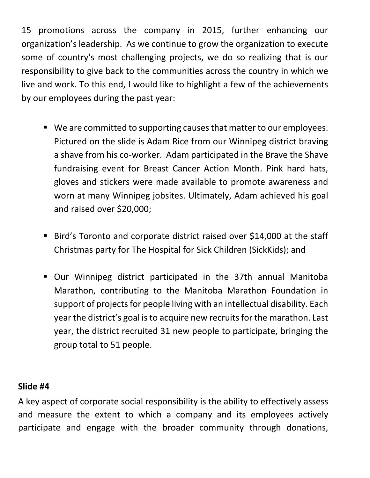15 promotions across the company in 2015, further enhancing our organization's leadership. As we continue to grow the organization to execute some of country's most challenging projects, we do so realizing that is our responsibility to give back to the communities across the country in which we live and work. To this end, I would like to highlight a few of the achievements by our employees during the past year:

- We are committed to supporting causes that matter to our employees. Pictured on the slide is Adam Rice from our Winnipeg district braving a shave from his co‐worker. Adam participated in the Brave the Shave fundraising event for Breast Cancer Action Month. Pink hard hats, gloves and stickers were made available to promote awareness and worn at many Winnipeg jobsites. Ultimately, Adam achieved his goal and raised over \$20,000;
- Bird's Toronto and corporate district raised over \$14,000 at the staff Christmas party for The Hospital for Sick Children (SickKids); and
- Our Winnipeg district participated in the 37th annual Manitoba Marathon, contributing to the Manitoba Marathon Foundation in support of projects for people living with an intellectual disability. Each year the district's goal is to acquire new recruits for the marathon. Last year, the district recruited 31 new people to participate, bringing the group total to 51 people.

### **Slide #4**

A key aspect of corporate social responsibility is the ability to effectively assess and measure the extent to which a company and its employees actively participate and engage with the broader community through donations,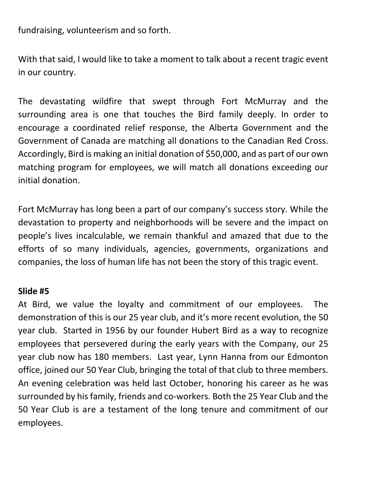fundraising, volunteerism and so forth.

With that said, I would like to take a moment to talk about a recent tragic event in our country.

The devastating wildfire that swept through Fort McMurray and the surrounding area is one that touches the Bird family deeply. In order to encourage a coordinated relief response, the Alberta Government and the Government of Canada are matching all donations to the Canadian Red Cross. Accordingly, Bird is making an initial donation of \$50,000, and as part of our own matching program for employees, we will match all donations exceeding our initial donation.

Fort McMurray has long been a part of our company's success story. While the devastation to property and neighborhoods will be severe and the impact on people's lives incalculable, we remain thankful and amazed that due to the efforts of so many individuals, agencies, governments, organizations and companies, the loss of human life has not been the story of this tragic event.

#### **Slide #5**

At Bird, we value the loyalty and commitment of our employees. The demonstration of this is our 25 year club, and it's more recent evolution, the 50 year club. Started in 1956 by our founder Hubert Bird as a way to recognize employees that persevered during the early years with the Company, our 25 year club now has 180 members. Last year, Lynn Hanna from our Edmonton office, joined our 50 Year Club, bringing the total of that club to three members. An evening celebration was held last October, honoring his career as he was surrounded by his family, friends and co-workers. Both the 25 Year Club and the 50 Year Club is are a testament of the long tenure and commitment of our employees.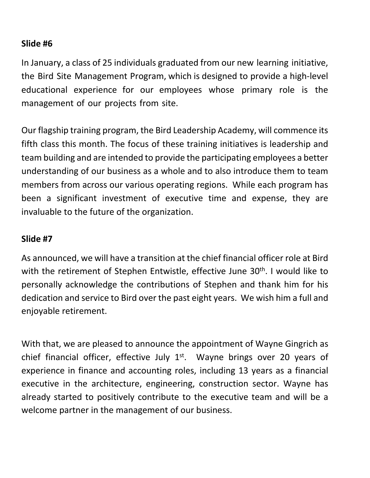In January, a class of 25 individuals graduated from our new learning initiative, the Bird Site Management Program, which is designed to provide a high‐level educational experience for our employees whose primary role is the management of our projects from site.

Our flagship training program, the Bird Leadership Academy, will commence its fifth class this month. The focus of these training initiatives is leadership and team building and are intended to provide the participating employees a better understanding of our business as a whole and to also introduce them to team members from across our various operating regions. While each program has been a significant investment of executive time and expense, they are invaluable to the future of the organization.

#### **Slide #7**

As announced, we will have a transition at the chief financial officer role at Bird with the retirement of Stephen Entwistle, effective June 30<sup>th</sup>. I would like to personally acknowledge the contributions of Stephen and thank him for his dedication and service to Bird over the past eight years. We wish him a full and enjoyable retirement.

With that, we are pleased to announce the appointment of Wayne Gingrich as chief financial officer, effective July  $1<sup>st</sup>$ . Wayne brings over 20 years of experience in finance and accounting roles, including 13 years as a financial executive in the architecture, engineering, construction sector. Wayne has already started to positively contribute to the executive team and will be a welcome partner in the management of our business.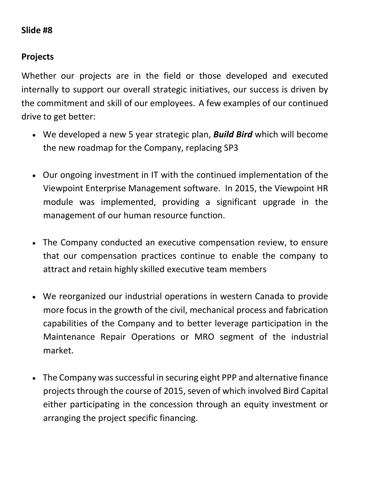### **Projects**

Whether our projects are in the field or those developed and executed internally to support our overall strategic initiatives, our success is driven by the commitment and skill of our employees. A few examples of our continued drive to get better:

- We developed a new 5 year strategic plan, *Build Bird* which will become the new roadmap for the Company, replacing SP3
- Our ongoing investment in IT with the continued implementation of the Viewpoint Enterprise Management software. In 2015, the Viewpoint HR module was implemented, providing a significant upgrade in the management of our human resource function.
- The Company conducted an executive compensation review, to ensure that our compensation practices continue to enable the company to attract and retain highly skilled executive team members
- We reorganized our industrial operations in western Canada to provide more focus in the growth of the civil, mechanical process and fabrication capabilities of the Company and to better leverage participation in the Maintenance Repair Operations or MRO segment of the industrial market.
- The Company was successful in securing eight PPP and alternative finance projects through the course of 2015, seven of which involved Bird Capital either participating in the concession through an equity investment or arranging the project specific financing.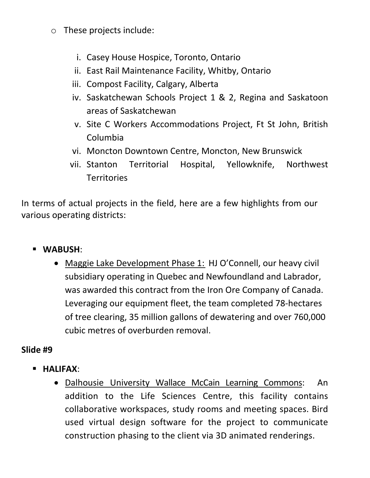- o These projects include:
	- i. Casey House Hospice, Toronto, Ontario
	- ii. East Rail Maintenance Facility, Whitby, Ontario
	- iii. Compost Facility, Calgary, Alberta
	- iv. Saskatchewan Schools Project 1 & 2, Regina and Saskatoon areas of Saskatchewan
	- v. Site C Workers Accommodations Project, Ft St John, British Columbia
	- vi. Moncton Downtown Centre, Moncton, New Brunswick
	- vii. Stanton Territorial Hospital, Yellowknife, Northwest **Territories**

In terms of actual projects in the field, here are a few highlights from our various operating districts:

- **WABUSH**:
	- Maggie Lake Development Phase 1: HJ O'Connell, our heavy civil subsidiary operating in Quebec and Newfoundland and Labrador, was awarded this contract from the Iron Ore Company of Canada. Leveraging our equipment fleet, the team completed 78‐hectares of tree clearing, 35 million gallons of dewatering and over 760,000 cubic metres of overburden removal.

# **Slide #9**

- **HALIFAX**:
	- Dalhousie University Wallace McCain Learning Commons: An addition to the Life Sciences Centre, this facility contains collaborative workspaces, study rooms and meeting spaces. Bird used virtual design software for the project to communicate construction phasing to the client via 3D animated renderings.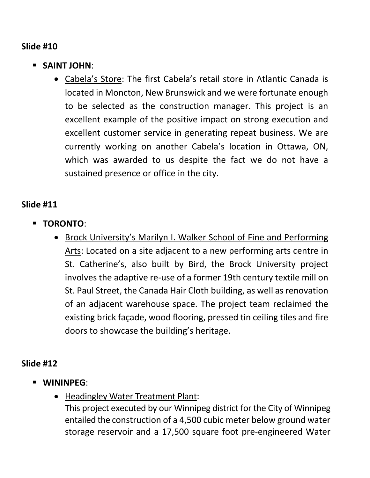- **SAINT JOHN**:
	- Cabela's Store: The first Cabela's retail store in Atlantic Canada is located in Moncton, New Brunswick and we were fortunate enough to be selected as the construction manager. This project is an excellent example of the positive impact on strong execution and excellent customer service in generating repeat business. We are currently working on another Cabela's location in Ottawa, ON, which was awarded to us despite the fact we do not have a sustained presence or office in the city.

### **Slide #11**

- **TORONTO**:
	- Brock University's Marilyn I. Walker School of Fine and Performing Arts: Located on a site adjacent to a new performing arts centre in St. Catherine's, also built by Bird, the Brock University project involves the adaptive re‐use of a former 19th century textile mill on St. Paul Street, the Canada Hair Cloth building, as well as renovation of an adjacent warehouse space. The project team reclaimed the existing brick façade, wood flooring, pressed tin ceiling tiles and fire doors to showcase the building's heritage.

### **Slide #12**

- **WININPEG**:
	- Headingley Water Treatment Plant:

This project executed by our Winnipeg district for the City of Winnipeg entailed the construction of a 4,500 cubic meter below ground water storage reservoir and a 17,500 square foot pre‐engineered Water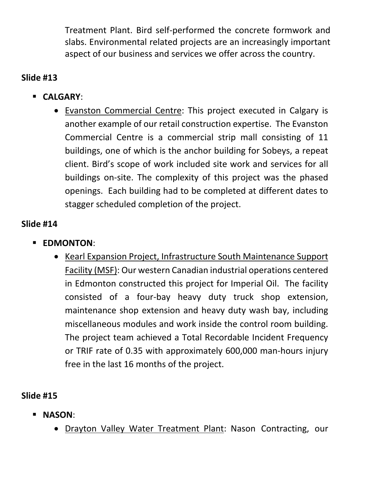Treatment Plant. Bird self‐performed the concrete formwork and slabs. Environmental related projects are an increasingly important aspect of our business and services we offer across the country.

# **Slide #13**

- **CALGARY**:
	- Evanston Commercial Centre: This project executed in Calgary is another example of our retail construction expertise. The Evanston Commercial Centre is a commercial strip mall consisting of 11 buildings, one of which is the anchor building for Sobeys, a repeat client. Bird's scope of work included site work and services for all buildings on‐site. The complexity of this project was the phased openings. Each building had to be completed at different dates to stagger scheduled completion of the project.

# **Slide #14**

- **EDMONTON:** 
	- Kearl Expansion Project, Infrastructure South Maintenance Support Facility (MSF): Our western Canadian industrial operations centered in Edmonton constructed this project for Imperial Oil. The facility consisted of a four‐bay heavy duty truck shop extension, maintenance shop extension and heavy duty wash bay, including miscellaneous modules and work inside the control room building. The project team achieved a Total Recordable Incident Frequency or TRIF rate of 0.35 with approximately 600,000 man‐hours injury free in the last 16 months of the project.

# **Slide #15**

- **NASON**:
	- Drayton Valley Water Treatment Plant: Nason Contracting, our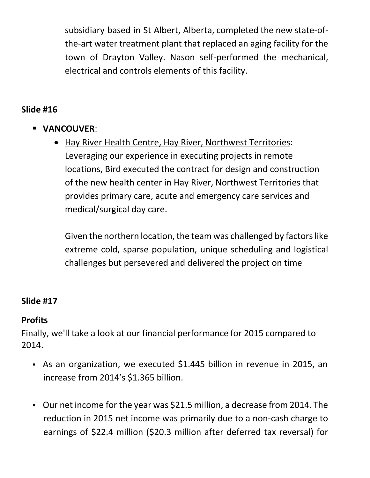subsidiary based in St Albert, Alberta, completed the new state‐of‐ the‐art water treatment plant that replaced an aging facility for the town of Drayton Valley. Nason self‐performed the mechanical, electrical and controls elements of this facility.

## **Slide #16**

- **VANCOUVER**:
	- Hay River Health Centre, Hay River, Northwest Territories: Leveraging our experience in executing projects in remote locations, Bird executed the contract for design and construction of the new health center in Hay River, Northwest Territories that provides primary care, acute and emergency care services and medical/surgical day care.

Given the northern location, the team was challenged by factors like extreme cold, sparse population, unique scheduling and logistical challenges but persevered and delivered the project on time

# **Slide #17**

#### **Profits**

Finally, we'll take a look at our financial performance for 2015 compared to 2014.

- As an organization, we executed \$1.445 billion in revenue in 2015, an increase from 2014's \$1.365 billion.
- Our net income for the year was \$21.5 million, a decrease from 2014. The reduction in 2015 net income was primarily due to a non‐cash charge to earnings of \$22.4 million (\$20.3 million after deferred tax reversal) for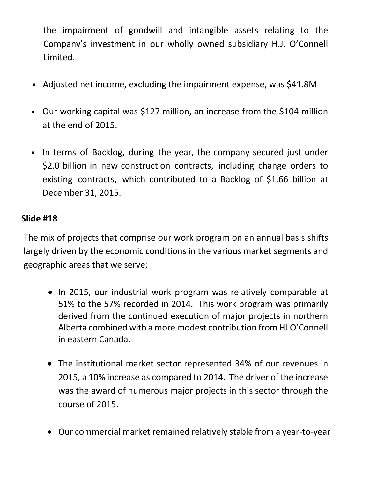the impairment of goodwill and intangible assets relating to the Company's investment in our wholly owned subsidiary H.J. O'Connell Limited.

- Adjusted net income, excluding the impairment expense, was \$41.8M
- Our working capital was \$127 million, an increase from the \$104 million at the end of 2015.
- In terms of Backlog, during the year, the company secured just under \$2.0 billion in new construction contracts, including change orders to existing contracts, which contributed to a Backlog of \$1.66 billion at December 31, 2015.

## **Slide #18**

The mix of projects that comprise our work program on an annual basis shifts largely driven by the economic conditions in the various market segments and geographic areas that we serve;

- In 2015, our industrial work program was relatively comparable at 51% to the 57% recorded in 2014. This work program was primarily derived from the continued execution of major projects in northern Alberta combined with a more modest contribution from HJ O'Connell in eastern Canada.
- The institutional market sector represented 34% of our revenues in 2015, a 10% increase as compared to 2014. The driver of the increase was the award of numerous major projects in this sector through the course of 2015.
- Our commercial market remained relatively stable from a year‐to‐year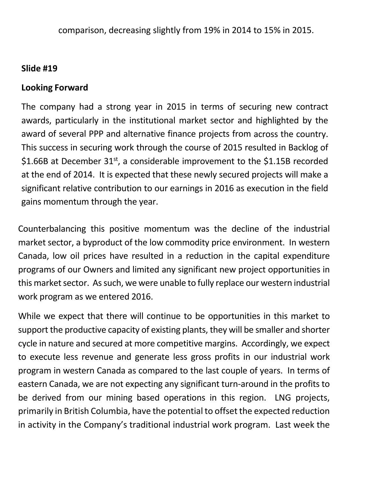#### **Looking Forward**

The company had a strong year in 2015 in terms of securing new contract awards, particularly in the institutional market sector and highlighted by the award of several PPP and alternative finance projects from across the country. This success in securing work through the course of 2015 resulted in Backlog of \$1.66B at December  $31^{st}$ , a considerable improvement to the \$1.15B recorded at the end of 2014. It is expected that these newly secured projects will make a significant relative contribution to our earnings in 2016 as execution in the field gains momentum through the year.

Counterbalancing this positive momentum was the decline of the industrial market sector, a byproduct of the low commodity price environment. In western Canada, low oil prices have resulted in a reduction in the capital expenditure programs of our Owners and limited any significant new project opportunities in this market sector. As such, we were unable to fully replace our western industrial work program as we entered 2016.

While we expect that there will continue to be opportunities in this market to support the productive capacity of existing plants, they will be smaller and shorter cycle in nature and secured at more competitive margins. Accordingly, we expect to execute less revenue and generate less gross profits in our industrial work program in western Canada as compared to the last couple of years. In terms of eastern Canada, we are not expecting any significant turn‐around in the profits to be derived from our mining based operations in this region. LNG projects, primarily in British Columbia, have the potential to offset the expected reduction in activity in the Company's traditional industrial work program. Last week the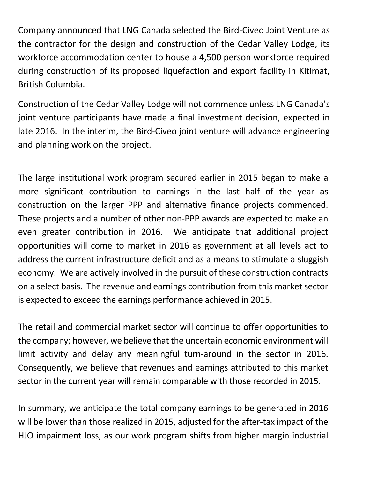Company announced that LNG Canada selected the Bird‐Civeo Joint Venture as the contractor for the design and construction of the Cedar Valley Lodge, its workforce accommodation center to house a 4,500 person workforce required during construction of its proposed liquefaction and export facility in Kitimat, British Columbia.

Construction of the Cedar Valley Lodge will not commence unless LNG Canada's joint venture participants have made a final investment decision, expected in late 2016. In the interim, the Bird‐Civeo joint venture will advance engineering and planning work on the project.

The large institutional work program secured earlier in 2015 began to make a more significant contribution to earnings in the last half of the year as construction on the larger PPP and alternative finance projects commenced. These projects and a number of other non‐PPP awards are expected to make an even greater contribution in 2016. We anticipate that additional project opportunities will come to market in 2016 as government at all levels act to address the current infrastructure deficit and as a means to stimulate a sluggish economy. We are actively involved in the pursuit of these construction contracts on a select basis. The revenue and earnings contribution from this market sector is expected to exceed the earnings performance achieved in 2015.

The retail and commercial market sector will continue to offer opportunities to the company; however, we believe that the uncertain economic environment will limit activity and delay any meaningful turn‐around in the sector in 2016. Consequently, we believe that revenues and earnings attributed to this market sector in the current year will remain comparable with those recorded in 2015.

In summary, we anticipate the total company earnings to be generated in 2016 will be lower than those realized in 2015, adjusted for the after-tax impact of the HJO impairment loss, as our work program shifts from higher margin industrial